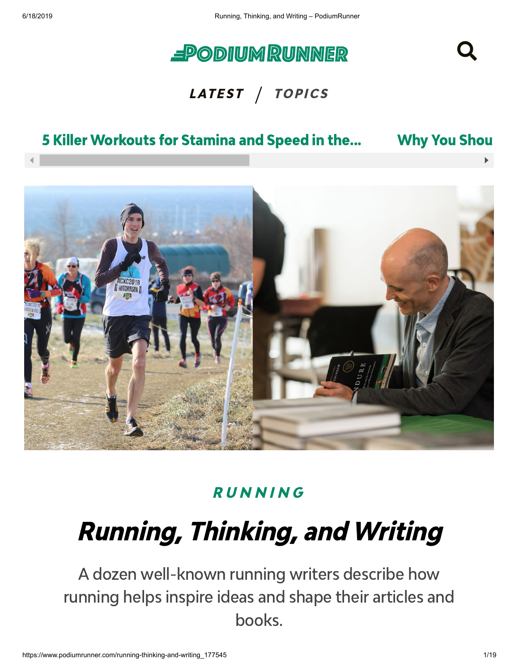

#### LATEST / TOPICS

#### 5 Killer [Workouts](https://www.podiumrunner.com/5-killer-workouts-for-stamina-and-speed-in-the-5k-and-mile_177590) for Stamina and Speed in the... Why You [Shou](https://www.podiumrunner.com/power-of-running-goals_177595)



#### **RUNNIN[G](https://www.podiumrunner.com/category/running)**

# Running, Thinking, and Writing

A dozen well-known running writers describe how running helps inspire ideas and shape their articles and books.

Q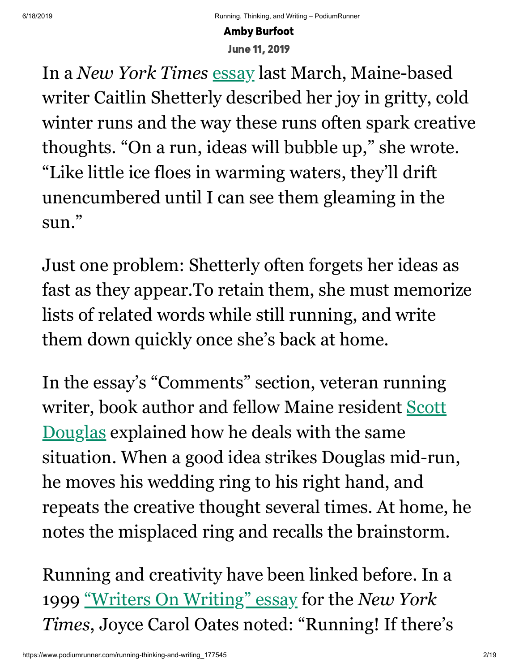June 11, 2019

In a *New York Times* [essay](https://www.nytimes.com/2019/03/20/well/move/on-wintry-runs-finding-a-room-of-my-own.html) last March, Maine-based writer Caitlin Shetterly described her joy in gritty, cold winter runs and the way these runs often spark creative thoughts. "On a run, ideas will bubble up," she wrote. "Like little ice floes in warming waters, they'll drift unencumbered until I can see them gleaming in the sun."

Just one problem: Shetterly often forgets her ideas as fast as they appear.To retain them, she must memorize lists of related words while still running, and write them down quickly once she's back at home.

Amby Burfort<br>In a *New York Times* essay last March, Maine-based<br>witer Caitlin Shetterly described her joy in gritty, cold<br>winter runs and the way these runs often spark creative<br>thoughts. "On a run, ideas will bubble up, In the essay's "Comments" section, veteran running [writer, book author and fellow Maine resident Scott](https://www.amazon.com/Scott-Douglas/e/B001IGT2D6) Douglas explained how he deals with the same situation. When a good idea strikes Douglas mid-run, he moves his wedding ring to his right hand, and repeats the creative thought several times. At home, he notes the misplaced ring and recalls the brainstorm.

Running and creativity have been linked before. In a 1999 ["Writers On Writing" essay](https://www.nytimes.com/1999/07/19/arts/to-invigorate-literary-mind-start-moving-literary-feet.html) for the *New York Times*, Joyce Carol Oates noted: "Running! If there's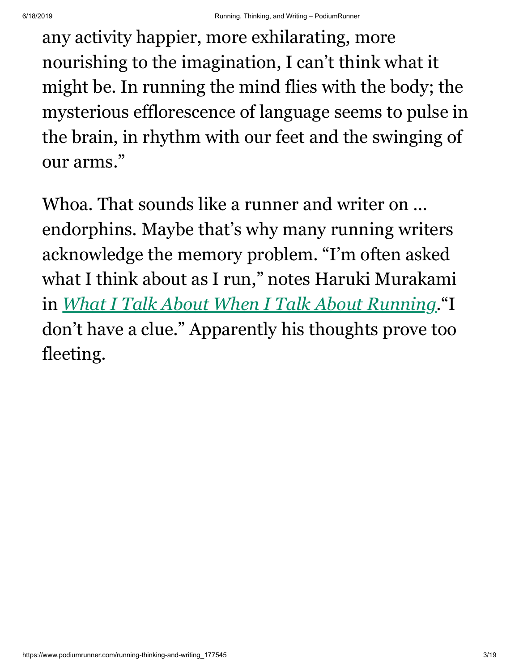any activity happier, more exhilarating, more nourishing to the imagination, I can't think what it might be. In running the mind flies with the body; the mysterious efflorescence of language seems to pulse in the brain, in rhythm with our feet and the swinging of our arms."

Whoa. That sounds like a runner and writer on … endorphins. Maybe that's why many running writers acknowledge the memory problem. "I'm often asked what I think about as I run," notes Haruki Murakami in *[What I Talk About When I Talk About Running](https://www.amazon.com/What-Talk-About-When-Running/dp/0307269191/ref=tmm_hrd_swatch_0)*."I don't have a clue." Apparently his thoughts prove too fleeting.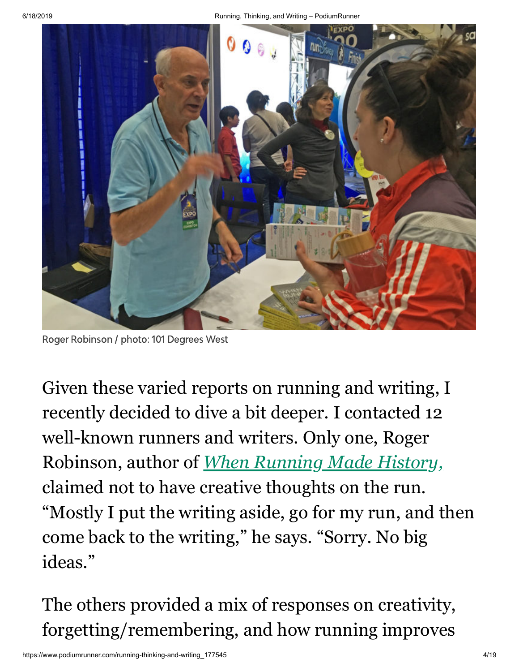

Roger Robinson / photo: 101 Degrees West

Given these varied reports on running and writing, I recently decided to dive a bit deeper. I contacted 12 well-known runners and writers. Only one, Roger Robinson, author of *[When Running Made History,](https://www.amazon.com/When-Running-History-Sports-Entertainment/dp/0815635788/ref=tmm_hrd_swatch_0)* claimed not to have creative thoughts on the run. "Mostly I put the writing aside, go for my run, and then come back to the writing," he says. "Sorry. No big ideas."

The others provided a mix of responses on creativity, forgetting/remembering, and how running improves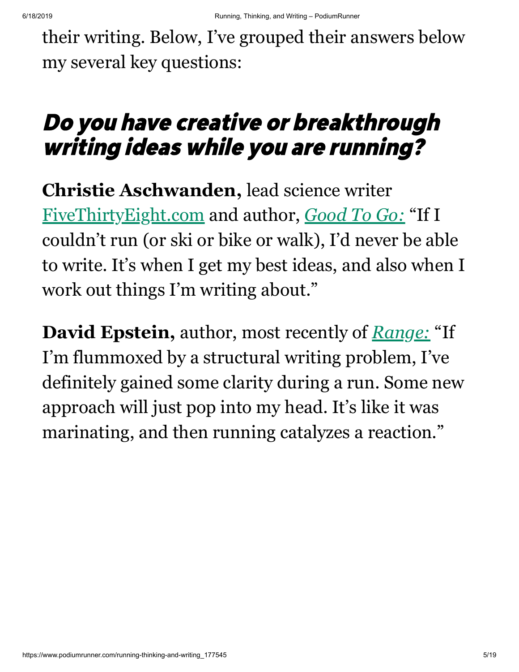their writing. Below, I've grouped their answers below my several key questions:

## Do you have creative or breakthrough writing ideas while you are running?

**Christie Aschwanden,** lead science writer [FiveThirtyEight.com](https://fivethirtyeight.com/) and author, *[Good To Go:](https://www.amazon.com/Good-Go-Athlete-Strange-Recovery/dp/039325433X/ref=sr_1_1)* "If I couldn't run (or ski or bike or walk), I'd never be able to write. It's when I get my best ideas, and also when I work out things I'm writing about."

**David Epstein,** author, most recently of *[Range:](https://www.amazon.com/Range-Generalists-Triumph-Specialized-World/dp/0735214484/ref=sr_1_1)* "If I'm flummoxed by a structural writing problem, I've definitely gained some clarity during a run. Some new approach will just pop into my head. It's like it was marinating, and then running catalyzes a reaction."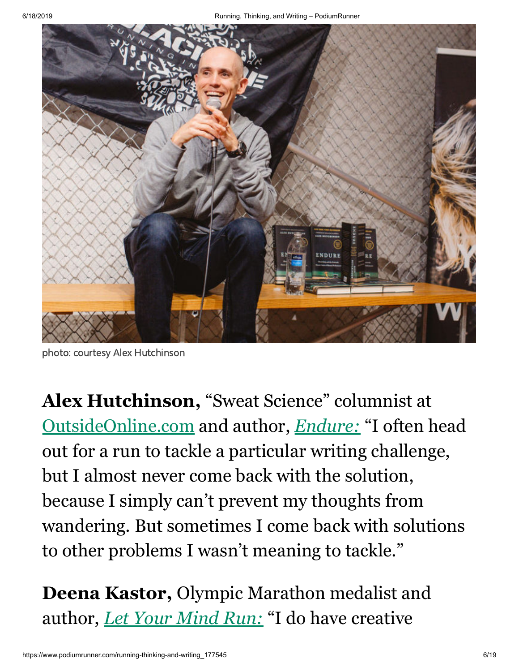

photo: courtesy Alex Hutchinson

**Alex Hutchinson,** "Sweat Science" columnist at [OutsideOnline.com](https://www.outsideonline.com/2247381/sweat-science-manifesto) and author, *[Endure:](https://www.amazon.com/Endure-Curiously-Elastic-Limits-Performance/dp/0062499866/ref=tmm_hrd_swatch_0)* "I often head out for a run to tackle a particular writing challenge, but I almost never come back with the solution, because I simply can't prevent my thoughts from wandering. But sometimes I come back with solutions to other problems I wasn't meaning to tackle."

**Deena Kastor,** Olympic Marathon medalist and author, *[Let Your Mind Run:](https://www.amazon.com/Let-Your-Mind-Run-Thinking/dp/1524760757/ref=tmm_hrd_swatch_0)* "I do have creative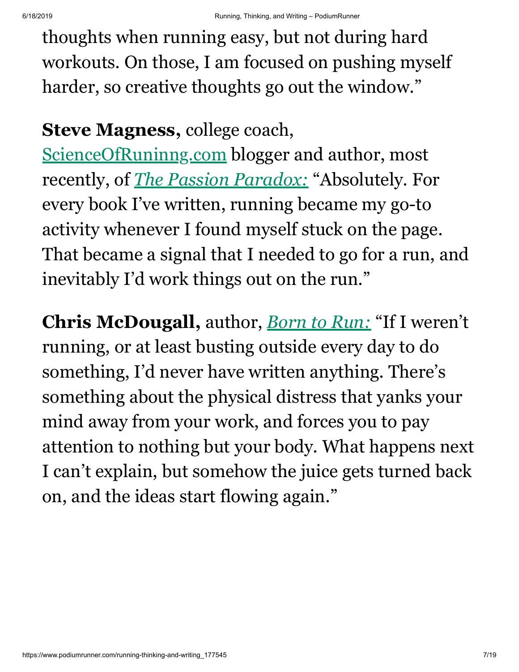thoughts when running easy, but not during hard workouts. On those, I am focused on pushing myself harder, so creative thoughts go out the window."

#### **Steve Magness,** college coach,

[ScienceOfRuninng.com](https://www.scienceofrunning.com/?v=7516fd43adaa) blogger and author, most recently, of *[The Passion Paradox:](https://www.amazon.com/Passion-Paradox-Discovering-Benefits-Unbalanced/dp/1635653436/ref=tmm_hrd_swatch_0?)* "Absolutely. For every book I've written, running became my go-to activity whenever I found myself stuck on the page. That became a signal that I needed to go for a run, and inevitably I'd work things out on the run."

**Chris McDougall,** author, *[Born to Run:](https://www.amazon.com/Born-Run-Hidden-Superathletes-Greatest/dp/0307266303/ref=tmm_hrd_swatch_0)* "If I weren't running, or at least busting outside every day to do something, I'd never have written anything. There's something about the physical distress that yanks your mind away from your work, and forces you to pay attention to nothing but your body. What happens next I can't explain, but somehow the juice gets turned back on, and the ideas start flowing again."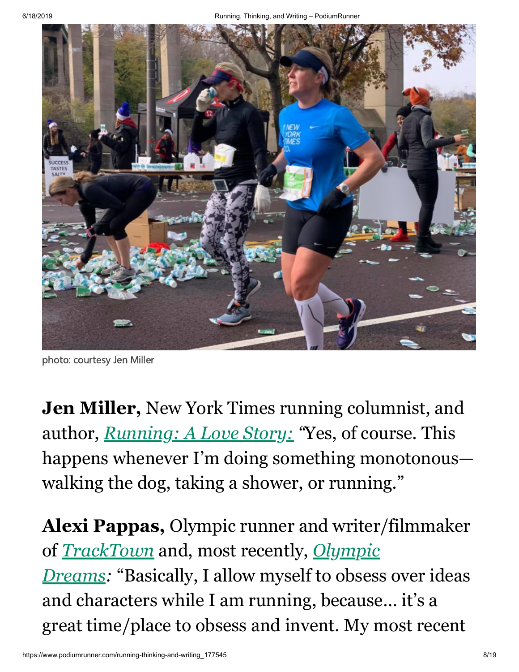

photo: courtesy Jen Miller

**Jen Miller,** New York Times running columnist, and author, *[Running: A Love Story:](https://www.amazon.com/Running-Story-Years-Marathons-Life-Changing/dp/1580056105/ref=tmm_pap_swatch_0) "*Yes, of course. This happens whenever I'm doing something monotonous walking the dog, taking a shower, or running."

**Alexi Pappas,** Olympic runner and writer/filmmaker of *[TrackTown](https://tracktownmovie.com/)* and, most recently, *Olympic Dreams:* ["Basically, I allow myself to obsess](https://www.imdb.com/title/tt8964214/externalreviews) over ideas and characters while I am running, because… it's a great time/place to obsess and invent. My most recent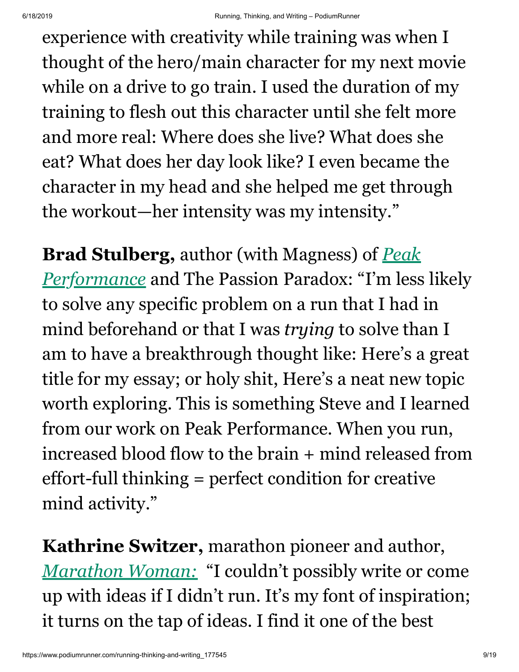experience with creativity while training was when I thought of the hero/main character for my next movie while on a drive to go train. I used the duration of my training to flesh out this character until she felt more and more real: Where does she live? What does she eat? What does her day look like? I even became the character in my head and she helped me get through the workout—her intensity was my intensity."

**Brad Stulberg,** author (with Magness) of *Peak Performance* [and The Passion Paradox: "I'm less](https://www.amazon.com/Peak-Performance-Elevate-Burnout-Science/dp/162336793X/ref=sr_1_1) likely to solve any specific problem on a run that I had in mind beforehand or that I was *trying* to solve than I am to have a breakthrough thought like: Here's a great title for my essay; or holy shit, Here's a neat new topic worth exploring. This is something Steve and I learned from our work on Peak Performance. When you run, increased blood flow to the brain + mind released from effort-full thinking = perfect condition for creative mind activity."

**Kathrine Switzer,** marathon pioneer and author, *[Marathon Woman:](https://www.amazon.com/Marathon-Woman-Running-Revolutionize-Womens-ebook/dp/B01K3WN8HG/ref=tmm_kin_swatch_0)* "I couldn't possibly write or come up with ideas if I didn't run. It's my font of inspiration; it turns on the tap of ideas. I find it one of the best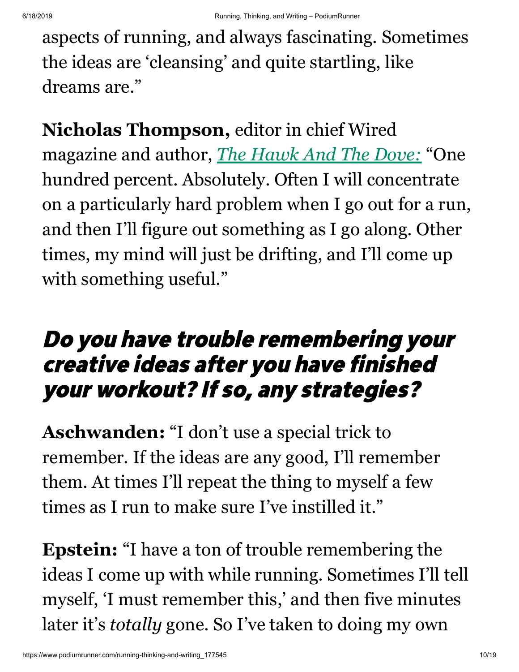aspects of running, and always fascinating. Sometimes the ideas are 'cleansing' and quite startling, like dreams are."

**Nicholas Thompson,** editor in chief Wired magazine and author, *[The Hawk And The Dove:](https://www.amazon.com/Hawk-Dove-George-Kennan-History/dp/0805081429/ref=sr_1_1)* "One hundred percent. Absolutely. Often I will concentrate on a particularly hard problem when I go out for a run, and then I'll figure out something as I go along. Other times, my mind will just be drifting, and I'll come up with something useful."

## Do you have trouble remembering your creative ideas after you have finished your workout? If so, any strategies?

**Aschwanden:** "I don't use a special trick to remember. If the ideas are any good, I'll remember them. At times I'll repeat the thing to myself a few times as I run to make sure I've instilled it."

**Epstein:** "I have a ton of trouble remembering the ideas I come up with while running. Sometimes I'll tell myself, 'I must remember this,' and then five minutes later it's *totally* gone. So I've taken to doing my own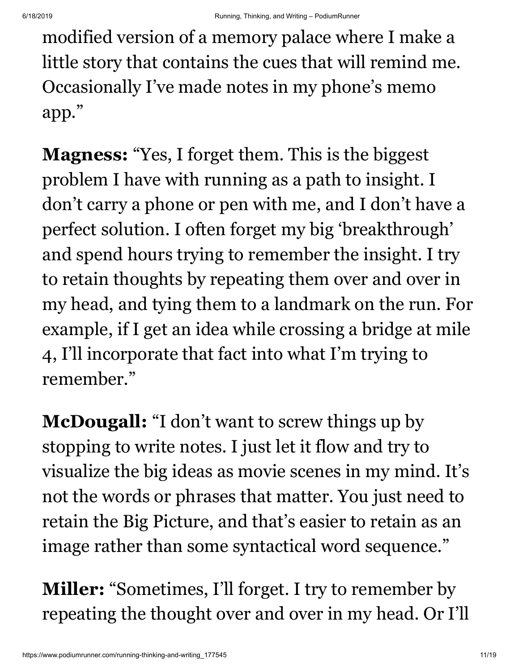modified version of a memory palace where I make a little story that contains the cues that will remind me. Occasionally I've made notes in my phone's memo app."

**Magness:** "Yes, I forget them. This is the biggest problem I have with running as a path to insight. I don't carry a phone or pen with me, and I don't have a perfect solution. I often forget my big 'breakthrough' and spend hours trying to remember the insight. I try to retain thoughts by repeating them over and over in my head, and tying them to a landmark on the run. For example, if I get an idea while crossing a bridge at mile 4, I'll incorporate that fact into what I'm trying to remember."

**McDougall:** "I don't want to screw things up by stopping to write notes. I just let it flow and try to visualize the big ideas as movie scenes in my mind. It's not the words or phrases that matter. You just need to retain the Big Picture, and that's easier to retain as an image rather than some syntactical word sequence."

**Miller:** "Sometimes, I'll forget. I try to remember by repeating the thought over and over in my head. Or I'll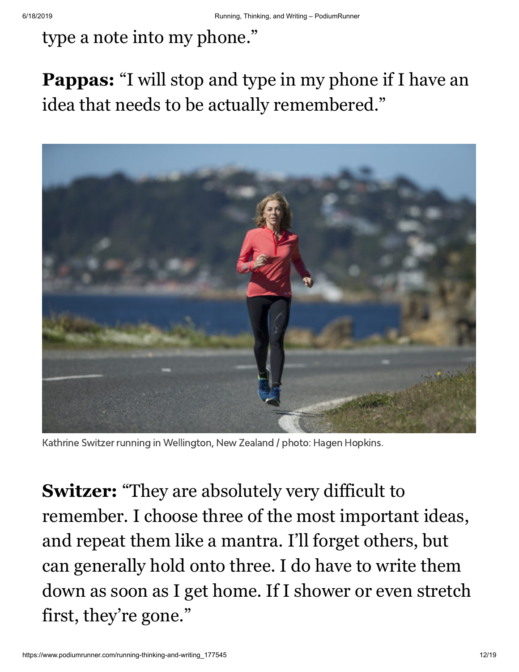### type a note into my phone."

### **Pappas:** "I will stop and type in my phone if I have an idea that needs to be actually remembered."



Kathrine Switzer running in Wellington, New Zealand / photo: Hagen Hopkins.

**Switzer:** "They are absolutely very difficult to remember. I choose three of the most important ideas, and repeat them like a mantra. I'll forget others, but can generally hold onto three. I do have to write them down as soon as I get home. If I shower or even stretch first, they're gone."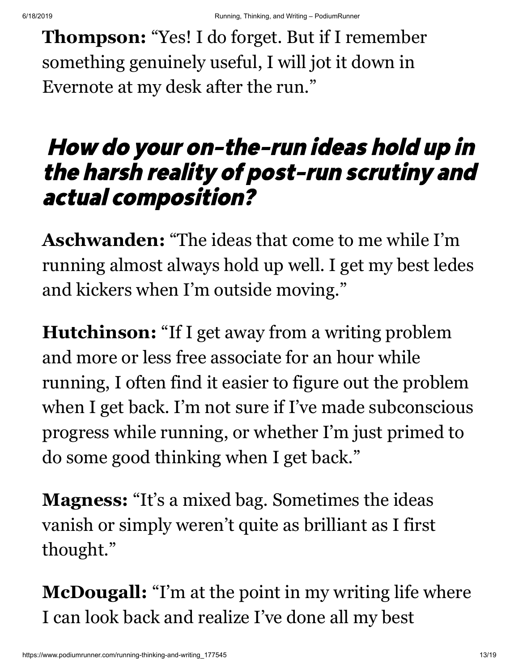**Thompson:** "Yes! I do forget. But if I remember something genuinely useful, I will jot it down in Evernote at my desk after the run."

## How do your on-the-run ideas hold up in the harsh reality of post-run scrutiny and actual composition?

**Aschwanden:** "The ideas that come to me while I'm running almost always hold up well. I get my best ledes and kickers when I'm outside moving."

**Hutchinson:** "If I get away from a writing problem and more or less free associate for an hour while running, I often find it easier to figure out the problem when I get back. I'm not sure if I've made subconscious progress while running, or whether I'm just primed to do some good thinking when I get back."

**Magness:** "It's a mixed bag. Sometimes the ideas vanish or simply weren't quite as brilliant as I first thought."

**McDougall:** "I'm at the point in my writing life where I can look back and realize I've done all my best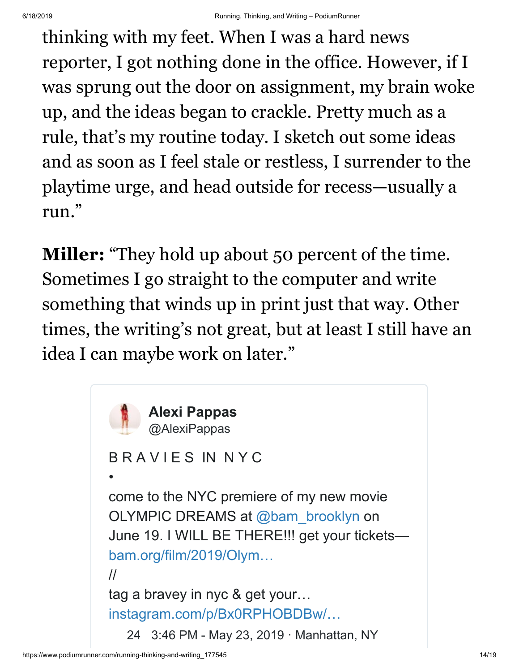thinking with my feet. When I was a hard news reporter, I got nothing done in the office. However, if I was sprung out the door on assignment, my brain woke up, and the ideas began to crackle. Pretty much as a rule, that's my routine today. I sketch out some ideas and as soon as I feel stale or restless, I surrender to the playtime urge, and head outside for recess—usually a run."

**Miller:** "They hold up about 50 percent of the time. Sometimes I go straight to the computer and write something that winds up in print just that way. Other times, the writing's not great, but at least I still have an idea I can maybe work on later."

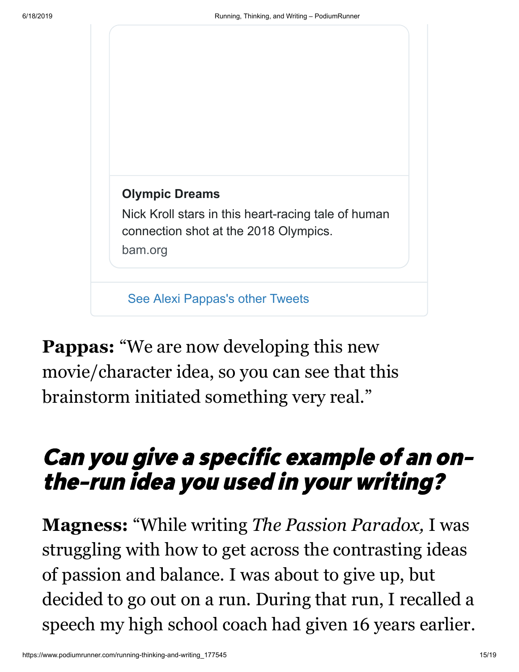

**Pappas:** "We are now developing this new movie/character idea, so you can see that this brainstorm initiated something very real."

## Can you give <sup>a</sup> specific example of an onthe-run idea you used in your writing?

**Magness:** "While writing *The Passion Paradox,* I was struggling with how to get across the contrasting ideas of passion and balance. I was about to give up, but decided to go out on a run. During that run, I recalled a speech my high school coach had given 16 years earlier.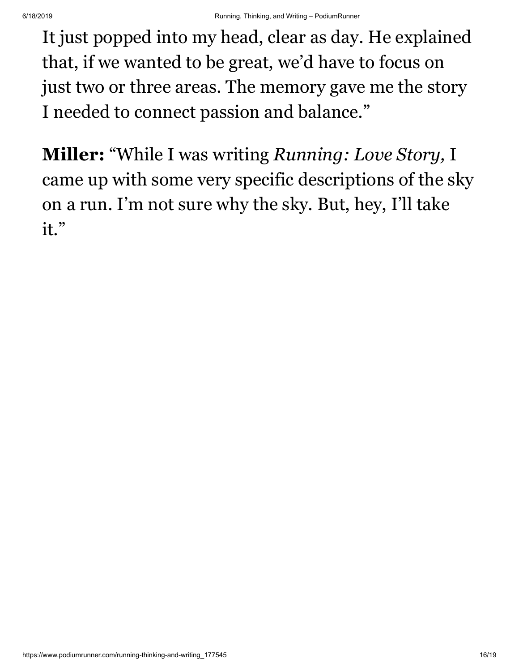It just popped into my head, clear as day. He explained that, if we wanted to be great, we'd have to focus on just two or three areas. The memory gave me the story I needed to connect passion and balance."

**Miller:** "While I was writing *Running: Love Story,* I came up with some very specific descriptions of the sky on a run. I'm not sure why the sky. But, hey, I'll take it."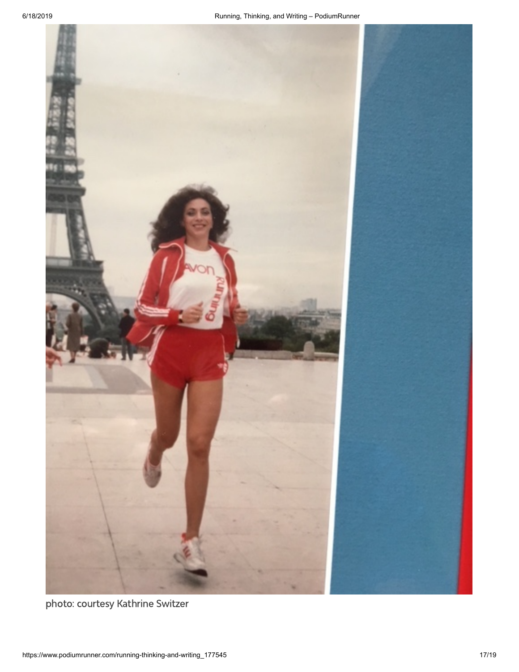

photo: courtesy Kathrine Switzer